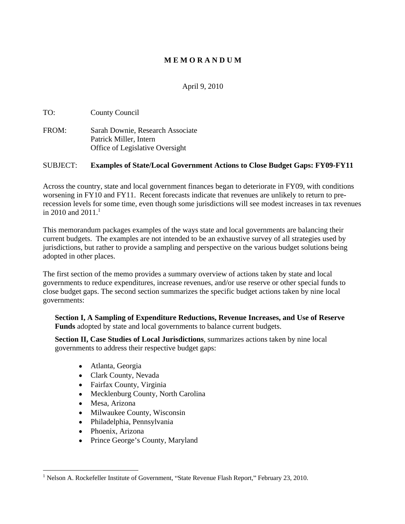# **M E M O R A N D U M**

April 9, 2010

TO: County Council

FROM: Sarah Downie, Research Associate Patrick Miller, Intern Office of Legislative Oversight

## SUBJECT: **Examples of State/Local Government Actions to Close Budget Gaps: FY09-FY11**

Across the country, state and local government finances began to deteriorate in FY09, with conditions worsening in FY10 and FY11. Recent forecasts indicate that revenues are unlikely to return to prerecession levels for some time, even though some jurisdictions will see modest increases in tax revenues in 2010 and 2011.<sup>1</sup>

This memorandum packages examples of the ways state and local governments are balancing their current budgets. The examples are not intended to be an exhaustive survey of all strategies used by jurisdictions, but rather to provide a sampling and perspective on the various budget solutions being adopted in other places.

The first section of the memo provides a summary overview of actions taken by state and local governments to reduce expenditures, increase revenues, and/or use reserve or other special funds to close budget gaps. The second section summarizes the specific budget actions taken by nine local governments:

**Section I, A Sampling of Expenditure Reductions, Revenue Increases, and Use of Reserve Funds** adopted by state and local governments to balance current budgets.

**Section II, Case Studies of Local Jurisdictions**, summarizes actions taken by nine local governments to address their respective budget gaps:

- Atlanta, Georgia
- Clark County, Nevada
- Fairfax County, Virginia
- Mecklenburg County, North Carolina
- $\bullet$ Mesa, Arizona
- $\bullet$ Milwaukee County, Wisconsin
- Philadelphia, Pennsylvania
- Phoenix, Arizona
- Prince George's County, Maryland

 <sup>1</sup> Nelson A. Rockefeller Institute of Government, State Revenue Flash Report, February 23, 2010.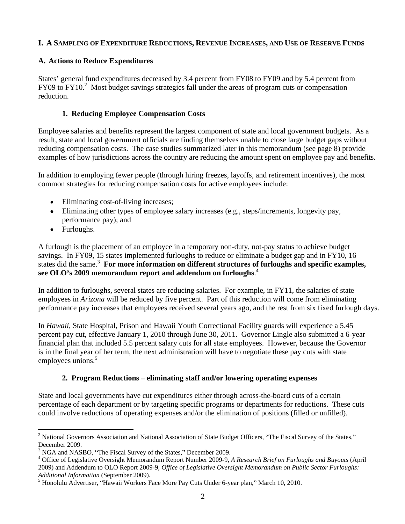# **I. A SAMPLING OF EXPENDITURE REDUCTIONS, REVENUE INCREASES, AND USE OF RESERVE FUNDS**

# **A. Actions to Reduce Expenditures**

States' general fund expenditures decreased by 3.4 percent from FY08 to FY09 and by 5.4 percent from FY09 to FY10.<sup>2</sup> Most budget savings strategies fall under the areas of program cuts or compensation reduction.

# **1. Reducing Employee Compensation Costs**

Employee salaries and benefits represent the largest component of state and local government budgets. As a result, state and local government officials are finding themselves unable to close large budget gaps without reducing compensation costs. The case studies summarized later in this memorandum (see page 8) provide examples of how jurisdictions across the country are reducing the amount spent on employee pay and benefits.

In addition to employing fewer people (through hiring freezes, layoffs, and retirement incentives), the most common strategies for reducing compensation costs for active employees include:

- Eliminating cost-of-living increases;
- Eliminating other types of employee salary increases (e.g., steps/increments, longevity pay, performance pay); and
- Furloughs. The contract of the contract of the contract of the contract of the contract of the contract of the contract of the contract of the contract of the contract of the contract of the contract of the contract of the

A furlough is the placement of an employee in a temporary non-duty, not-pay status to achieve budget savings. In FY09, 15 states implemented furloughs to reduce or eliminate a budget gap and in FY10, 16 states did the same.<sup>3</sup> For more information on different structures of furloughs and specific examples, **see OLO s 2009 memorandum report and addendum on furloughs**.4

In addition to furloughs, several states are reducing salaries. For example, in FY11, the salaries of state employees in *Arizona* will be reduced by five percent. Part of this reduction will come from eliminating performance pay increases that employees received several years ago, and the rest from six fixed furlough days. In *Hawaii*, State Hospital, Prison and Hawaii Youth Correctional Facility guards will experience a 5.45

percent pay cut, effective January 1, 2010 through June 30, 2011. Governor Lingle also submitted a 6-year financial plan that included 5.5 percent salary cuts for all state employees. However, because the Governor is in the final year of her term, the next administration will have to negotiate these pay cuts with state employees unions.<sup>5</sup>

## **2. Program Reductions eliminating staff and/or lowering operating expenses**

State and local governments have cut expenditures either through across-the-board cuts of a certain percentage of each department or by targeting specific programs or departments for reductions. These cuts could involve reductions of operating expenses and/or the elimination of positions (filled or unfilled).

 $2$  National Governors Association and National Association of State Budget Officers, "The Fiscal Survey of the States,"<br>December 2009.

 $3$  NGA and NASBO, "The Fiscal Survey of the States," December 2009.

<sup>&</sup>lt;sup>4</sup> Office of Legislative Oversight Memorandum Report Number 2009-9, *A Research Brief on Furloughs and Buyouts* (April 2009) and Addendum to OLO Report 2009-9, *Office of Legislative Oversight Memorandum on Public Sector Furloughs:* 

*Additional Information* (September 2009).<br><sup>5</sup> Honolulu Advertiser, "Hawaii Workers Face More Pay Cuts Under 6-year plan," March 10, 2010.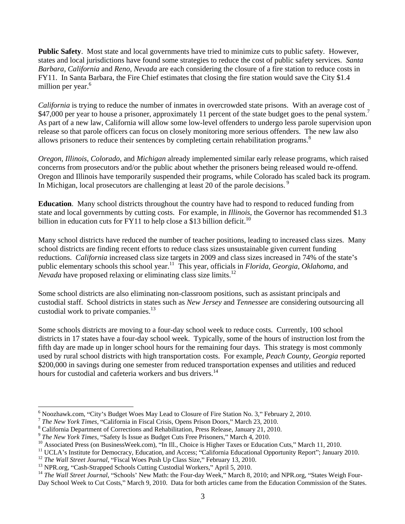**Public Safety**. Most state and local governments have tried to minimize cuts to public safety. However, states and local jurisdictions have found some strategies to reduce the cost of public safety services. *Santa Barbara, California* and *Reno, Nevada* are each considering the closure of a fire station to reduce costs in FY11. In Santa Barbara, the Fire Chief estimates that closing the fire station would save the City \$1.4 million per year. $6\degree$ 

*California* is trying to reduce the number of inmates in overcrowded state prisons. With an average cost of \$47,000 per year to house a prisoner, approximately 11 percent of the state budget goes to the penal system.<sup>7</sup> As part of a new law, California will allow some low-level offenders to undergo less parole supervision upon release so that parole officers can focus on closely monitoring more serious offenders. The new law also allows prisoners to reduce their sentences by completing certain rehabilitation programs.<sup>8</sup>

*Oregon*, *Illinois*, *Colorado*, and *Michigan* already implemented similar early release programs, which raised concerns from prosecutors and/or the public about whether the prisoners being released would re-offend. Oregon and Illinois have temporarily suspended their programs, while Colorado has scaled back its program. In Michigan, local prosecutors are challenging at least 20 of the parole decisions.<sup>9</sup>

**Education**. Many school districts throughout the country have had to respond to reduced funding from state and local governments by cutting costs. For example, in *Illinois*, the Governor has recommended \$1.3 billion in education cuts for FY11 to help close a \$13 billion deficit.<sup>10</sup>

 Many school districts have reduced the number of teacher positions, leading to increased class sizes. Many school districts are finding recent efforts to reduce class sizes unsustainable given current funding reductions. *California* increased class size targets in 2009 and class sizes increased in 74% of the state's public elementary schools this school year.11 This year, officials in *Florida*, *Georgia*, *Oklahoma*, and *Nevada* have proposed relaxing or eliminating class size limits.<sup>12</sup>

Some school districts are also eliminating non-classroom positions, such as assistant principals and custodial staff. School districts in states such as *New Jersey* and *Tennessee* are considering outsourcing all custodial work to private companies.<sup>13</sup>

Some schools districts are moving to a four-day school week to reduce costs.Currently, 100 school districts in 17 states have a four-day school week. Typically, some of the hours of instruction lost from the fifth day are made up in longer school hours for the remaining four days. This strategy is most commonly used by rural school districts with high transportation costs. For example, *Peach County, Georgia* reported \$200,000 in savings during one semester from reduced transportation expenses and utilities and reduced hours for custodial and cafeteria workers and bus drivers.<sup>14</sup>

<sup>&</sup>lt;sup>6</sup> Noozhawk.com, "City's Budget Woes May Lead to Closure of Fire Station No. 3," February 2, 2010.<br><sup>7</sup> *The New York Times*, "California in Fiscal Crisis, Opens Prison Doors," March 23, 2010. 8<br><sup>8</sup> Celifornia Depertment o

<sup>&</sup>lt;sup>8</sup> California Department of Corrections and Rehabilitation, Press Release, January 21, 2010.<br><sup>9</sup> *The New York Times*, "Safety Is Issue as Budget Cuts Free Prisoners," March 4, 2010.<br><sup>10</sup> Associated Press (on BusinessWee Day School Week to Cut Costs," March 9, 2010. Data for both articles came from the Education Commission of the States.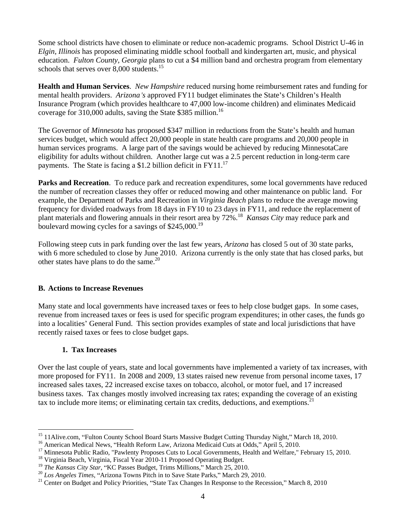Some school districts have chosen to eliminate or reduce non-academic programs. School District U-46 in *Elgin, Illinois* has proposed eliminating middle school football and kindergarten art, music, and physical education. *Fulton County, Georgia* plans to cut a \$4 million band and orchestra program from elementary schools that serves over 8,000 students.<sup>15</sup>

**Health and Human Services**. *New Hampshire* reduced nursing home reimbursement rates and funding for mental health providers. *Arizona's* approved FY11 budget eliminates the State's Children's Health Insurance Program (which provides healthcare to 47,000 low-income children) and eliminates Medicaid coverage for 310,000 adults, saving the State \$385 million.<sup>16</sup>

The Governor of *Minnesota* has proposed \$347 million in reductions from the State's health and human services budget, which would affect 20,000 people in state health care programs and 20,000 people in human services programs. A large part of the savings would be achieved by reducing MinnesotaCare eligibility for adults without children. Another large cut was a 2.5 percent reduction in long-term care payments. The State is facing a \$1.2 billion deficit in FY11.<sup>17</sup>

**Parks and Recreation**. To reduce park and recreation expenditures, some local governments have reduced the number of recreation classes they offer or reduced mowing and other maintenance on public land. For example, the Department of Parks and Recreation in *Virginia Beach* plans to reduce the average mowing frequency for divided roadways from 18 days in FY10 to 23 days in FY11, and reduce the replacement of plant materials and flowering annuals in their resort area by 72%.<sup>18</sup> *Kansas City* may reduce park and boulevard mowing cycles for a savings of \$245,000.<sup>19</sup>

Following steep cuts in park funding over the last few years, *Arizona* has closed 5 out of 30 state parks, with 6 more scheduled to close by June 2010. Arizona currently is the only state that has closed parks, but other states have plans to do the same.<sup>20</sup>

## **B. Actions to Increase Revenues**

Many state and local governments have increased taxes or fees to help close budget gaps. In some cases, revenue from increased taxes or fees is used for specific program expenditures; in other cases, the funds go into a localities' General Fund. This section provides examples of state and local jurisdictions that have recently raised taxes or fees to close budget gaps.

## **1. Tax Increases**

Over the last couple of years, state and local governments have implemented a variety of tax increases, with more proposed for FY11. In 2008 and 2009, 13 states raised new revenue from personal income taxes, 17 increased sales taxes, 22 increased excise taxes on tobacco, alcohol, or motor fuel, and 17 increased business taxes. Tax changes mostly involved increasing tax rates; expanding the coverage of an existing tax to include more items; or eliminating certain tax credits, deductions, and exemptions.<sup>21</sup>

<sup>&</sup>lt;sup>15</sup> 11 Alive.com, "Fulton County School Board Starts Massive Budget Cutting Thursday Night," March 18, 2010.<br><sup>16</sup> American Medical News, "Health Reform Law, Arizona Medicaid Cuts at Odds," April 5, 2010.<br><sup>17</sup> Minnesota Pu

<sup>&</sup>lt;sup>19</sup> The Kansas City Star, "KC Passes Budget, Trims Millions," March 25, 2010.<br><sup>20</sup> Los Angeles Times, "Arizona Towns Pitch in to Save State Parks," March 29, 2010.<br><sup>21</sup> Center on Budget and Policy Priorities, "State Tax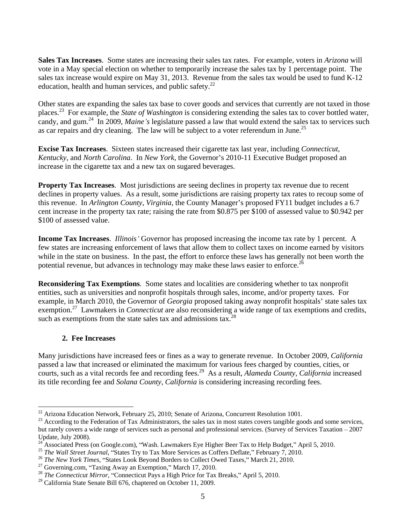**Sales Tax Increases**. Some states are increasing their sales tax rates. For example, voters in *Arizona* will vote in a May special election on whether to temporarily increase the sales tax by 1 percentage point. The sales tax increase would expire on May 31, 2013. Revenue from the sales tax would be used to fund K-12 education, health and human services, and public safety. $^{22}$ 

Other states are expanding the sales tax base to cover goods and services that currently are not taxed in those places.23 For example, the *State of Washington* is considering extending the sales tax to cover bottled water, candy, and gum.<sup>24</sup> In 2009, *Maine s* legislature passed a law that would extend the sales tax to services such as car repairs and dry cleaning. The law will be subject to a voter referendum in June.<sup>25</sup>

**Excise Tax Increases**. Sixteen states increased their cigarette tax last year, including *Connecticut*, *Kentucky*, and *North Carolina*. In *New York*, the Governor's 2010-11 Executive Budget proposed an increase in the cigarette tax and a new tax on sugared beverages.

**Property Tax Increases**. Most jurisdictions are seeing declines in property tax revenue due to recent declines in property values. As a result, some jurisdictions are raising property tax rates to recoup some of this revenue. In *Arlington County, Virginia*, the County Manager's proposed FY11 budget includes a 6.7 cent increase in the property tax rate; raising the rate from \$0.875 per \$100 of assessed value to \$0.942 per \$100 of assessed value.

**Income Tax Increases.** *Illinois* Governor has proposed increasing the income tax rate by 1 percent. A few states are increasing enforcement of laws that allow them to collect taxes on income earned by visitors while in the state on business. In the past, the effort to enforce these laws has generally not been worth the potential revenue, but advances in technology may make these laws easier to enforce.<sup>26</sup>

**Reconsidering Tax Exemptions**. Some states and localities are considering whether to tax nonprofit entities, such as universities and nonprofit hospitals through sales, income, and/or property taxes. For example, in March 2010, the Governor of *Georgia* proposed taking away nonprofit hospitals' state sales tax exemption.<sup>27</sup> Lawmakers in *Connecticut* are also reconsidering a wide range of tax exemptions and credits, such as exemptions from the state sales tax and admissions tax.<sup>28</sup>

## **2. Fee Increases**

Many jurisdictions have increased fees or fines as a way to generate revenue. In October 2009, *California* passed a law that increased or eliminated the maximum for various fees charged by counties, cities, or courts, such as a vital records fee and recording fees.29 As a result, *Alameda County, California* increased its title recording fee and *Solana County, California* is considering increasing recording fees.

<sup>&</sup>lt;sup>22</sup> Arizona Education Network, February 25, 2010; Senate of Arizona, Concurrent Resolution 1001.<br><sup>23</sup> According to the Federation of Tax Administrators, the sales tax in most states covers tangible goods and some service but rarely covers a wide range of services such as personal and professional services. (Survey of Services Taxation – 2007 Update, July 2008).

Update, July 2008).<br><sup>24</sup> Associated Press (on Google.com), "Wash. Lawmakers Eye Higher Beer Tax to Help Budget," April 5, 2010.<br><sup>25</sup> *The Wall Street Journal*, "States Try to Tax More Services as Coffers Deflate," February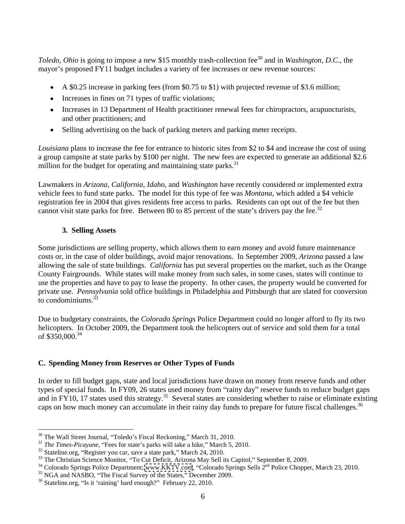*Toledo, Ohio* is going to impose a new \$15 monthly trash-collection fee<sup>30</sup> and in *Washington, D.C.*, the mayor's proposed FY11 budget includes a variety of fee increases or new revenue sources:

- $\blacktriangleright$  A \$0.25 increase in parking fees (from \$0.75 to \$1) with projected revenue of \$3.6 million;
- Increases in fines on 71 types of traffic violations;
- Increases in 13 Department of Health practitioner renewal fees for chiropractors, acupuncturists, and other practitioners; and
- $\bullet$ Selling advertising on the back of parking meters and parking meter receipts.

*Louisiana* plans to increase the fee for entrance to historic sites from \$2 to \$4 and increase the cost of using a group campsite at state parks by \$100 per night. The new fees are expected to generate an additional \$2.6 million for the budget for operating and maintaining state parks. $31$ 

 Lawmakers in *Arizona*, *California*, *Idaho*, and *Washington* have recently considered or implemented extra vehicle fees to fund state parks. The model for this type of fee was *Montana*, which added a \$4 vehicle registration fee in 2004 that gives residents free access to parks. Residents can opt out of the fee but then cannot visit state parks for free. Between 80 to 85 percent of the state's drivers pay the fee.<sup>32</sup>

# **3. Selling Assets**

Some jurisdictions are selling property, which allows them to earn money and avoid future maintenance costs or, in the case of older buildings, avoid major renovations. In September 2009, *Arizona* passed a law allowing the sale of state buildings. *California* has put several properties on the market, such as the Orange County Fairgrounds. While states will make money from such sales, in some cases, states will continue to use the properties and have to pay to lease the property. In other cases, the property would be converted for private use. *Pennsylvania* sold office buildings in Philadelphia and Pittsburgh that are slated for conversion to condominiums.<sup>33</sup> to condominiums.  $33$ 

Due to budgetary constraints, the *Colorado Springs* Police Department could no longer afford to fly its two helicopters. In October 2009, the Department took the helicopters out of service and sold them for a total of \$350,000.<sup>34</sup> of  $$350,000$ .<sup>34</sup>

# **C. Spending Money from Reservesor Other Types of Funds**

In order to fill budget gaps, state and local jurisdictions have drawn on money from reserve funds and other types of special funds. In FY09, 26 states used money from "rainy day" reserve funds to reduce budget gaps and in FY10, 17 states used this strategy.<sup>35</sup> Several states are considering whether to raise or eliminate existing caps on how much money can accumulate in their rainy day funds to prepare for future fiscal challenges.<sup>36</sup>

<sup>&</sup>lt;sup>30</sup> The Wall Street Journal, "Toledo's Fiscal Reckoning," March 31, 2010.<br><sup>31</sup> *The Times-Picayune*, "Fees for state's parks will take a hike," March 5, 2010.<br><sup>32</sup> Stateline.org, "Register you car, save a state park," Mar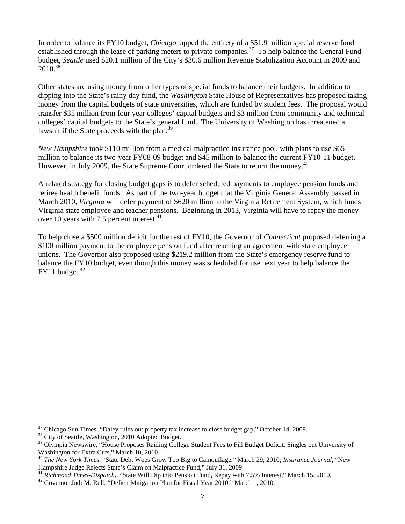In order to balance its FY10 budget, *Chicago* tapped the entirety of a \$51.9 million special reserve fund established through the lease of parking meters to private companies.<sup>37</sup> To help balance the General Fund budget, *Seattle* used \$20.1 million of the City's \$30.6 million Revenue Stabilization Account in 2009 and 2010.<sup>38</sup>  $2010^{38}$ 

 Other states are using money from other types of special funds to balance their budgets. In addition to dipping into the State's rainy day fund, the *Washington* State House of Representatives has proposed taking money from the capital budgets of state universities, which are funded by student fees. The proposal would transfer \$35 million from four year colleges' capital budgets and \$3 million from community and technical colleges' capital budgets to the State's general fund. The University of Washington has threatened a lawsuit if the State proceeds with the plan.<sup>39</sup>

*New Hampshire* took \$110 million from a medical malpractice insurance pool, with plans to use \$65 million to balance its two-year FY08-09 budget and \$45 million to balance the current FY10-11 budget. However, in July 2009, the State Supreme Court ordered the State to return the money.<sup>40</sup>

 A related strategy for closing budget gaps is to defer scheduled payments to employee pension funds and retiree health benefit funds. As part of the two-year budget that the Virginia General Assembly passed in March 2010, *Virginia* will defer payment of \$620 million to the Virginia Retirement System, which funds Virginia state employee and teacher pensions. Beginning in 2013, Virginia will have to repay the money over 10 years with 7.5 percent interest. $41$ 

To help close a \$500 million deficit for the rest of FY10, the Governor of *Connecticut* proposed deferring a \$100 million payment to the employee pension fund after reaching an agreement with state employee unions. The Governor also proposed using \$219.2 million from the State's emergency reserve fund to balance the FY10 budget, even though this money was scheduled for use next year to help balance the  $FY11$  budget.<sup>42</sup>

 $37$  Chicago Sun Times, "Daley rules out property tax increase to close budget gap," October 14, 2009.<br> $38$  City of Seattle. Washington, 2010 Adopted Budget.

<sup>&</sup>lt;sup>39</sup> Olympia Newswire, "House Proposes Raiding College Student Fees to Fill Budget Deficit, Singles out University of

Washington for Extra Cuts," March 10, 2010.<br><sup>40</sup> *The New York Times*, "State Debt Woes Grow Too Big to Camouflage," March 29, 2010; *Insurance Journal*, "New Hampshire Judge Rejects State's Claim on Malpractice Fund," Jul

Hampshire Judge Rejects State's Claim on Malpractice Fund," July 31, 2009.<br><sup>41</sup> Richmond Times-Dispatch. "State Will Dip into Pension Fund, Repay with 7.5% Interest," March 15, 2010.<br><sup>42</sup> Governor Jodi M. Rell, "Deficit Mi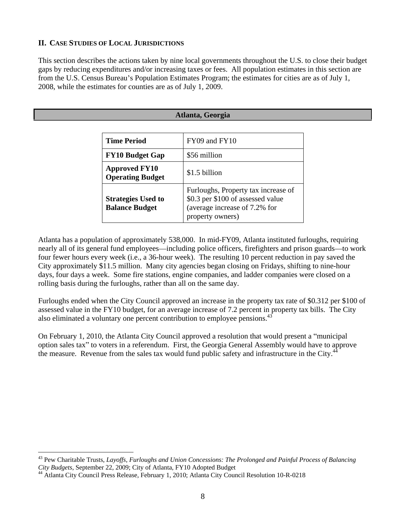# **II. CASE STUDIES OF LOCAL JURISDICTIONS**

L

This section describes the actions taken by nine local governments throughout the U.S. to close their budget gaps by reducing expenditures and/or increasing taxes or fees. All population estimates in this section are from the U.S. Census Bureau's Population Estimates Program; the estimates for cities are as of July 1, 2008, while the estimates for counties are as of July 1, 2009.

|                                                    | Atlanta, Georgia                                                                                                                |
|----------------------------------------------------|---------------------------------------------------------------------------------------------------------------------------------|
| <b>Time Period</b>                                 | FY09 and FY10                                                                                                                   |
| <b>FY10 Budget Gap</b>                             | \$56 million                                                                                                                    |
| <b>Approved FY10</b><br><b>Operating Budget</b>    | \$1.5 billion                                                                                                                   |
| <b>Strategies Used to</b><br><b>Balance Budget</b> | Furloughs, Property tax increase of<br>  \$0.3 per \$100 of assessed value<br>(average increase of 7.2% for<br>property owners) |

Atlanta has a population of approximately 538,000. In mid-FY09, Atlanta instituted furloughs, requiring nearly all of its general fund employees—including police officers, firefighters and prison guards—to work four fewer hours every week (i.e., a 36-hour week). The resulting 10 percent reduction in pay saved the City approximately \$11.5 million. Many city agencies began closing on Fridays, shifting to nine-hour days, four days a week. Some fire stations, engine companies, and ladder companies were closed on a rolling basis during the furloughs, rather than all on the same day.

Furloughs ended when the City Council approved an increase in the property tax rate of \$0.312 per \$100 of assessed value in the FY10 budget, for an average increase of 7.2 percent in property tax bills. The City also eliminated a voluntary one percent contribution to employee pensions.<sup>43</sup>

On February 1, 2010, the Atlanta City Council approved a resolution that would present a "municipal" option sales tax" to voters in a referendum. First, the Georgia General Assembly would have to approve the measure. Revenue from the sales tax would fund public safety and infrastructure in the City.<sup>44</sup>

<sup>&</sup>lt;sup>43</sup> Pew Charitable Trusts, *Layoffs, Furloughs and Union Concessions: The Prolonged and Painful Process of Balancing City Budgets, September 22, 2009; City of Atlanta, FY10 Adopted Budget* 

<sup>&</sup>lt;sup>44</sup> Atlanta City Council Press Release, February 1, 2010; Atlanta City Council Resolution 10-R-0218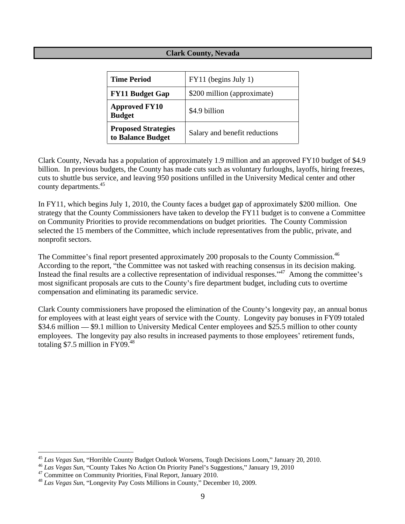# **Clark County, Nevada**

| <b>Time Period</b>                              | $\vert$ FY11 (begins July 1)  |
|-------------------------------------------------|-------------------------------|
| <b>FY11 Budget Gap</b>                          | \$200 million (approximate)   |
| <b>Approved FY10</b><br><b>Budget</b>           | \$4.9 billion                 |
| <b>Proposed Strategies</b><br>to Balance Budget | Salary and benefit reductions |

Clark County, Nevada has a population of approximately 1.9 million and an approved FY10 budget of \$4.9 billion. In previous budgets, the County has made cuts such as voluntary furloughs, layoffs, hiring freezes, cuts to shuttle bus service, and leaving 950 positions unfilled in the University Medical center and other county departments.<sup>45</sup>

In FY11, which begins July 1, 2010, the County faces a budget gap of approximately \$200 million. One strategy that the County Commissioners have taken to develop the FY11 budget is to convene a Committee on Community Priorities to provide recommendations on budget priorities. The County Commission selected the 15 members of the Committee, which include representatives from the public, private, and

nonprofit sectors.<br>The Committee's final report presented approximately 200 proposals to the County Commission.<sup>46</sup> According to the report, "the Committee was not tasked with reaching consensus in its decision making. Instead the final results are a collective representation of individual responses."<sup>47</sup> Among the committee's most significant proposals are cuts to the County's fire department budget, including cuts to overtime compensation and eliminating its paramedic service.

Clark County commissioners have proposed the elimination of the County's longevity pay, an annual bonus for employees with at least eight years of service with the County. Longevity pay bonuses in FY09 totaled \$34.6 million  $\sim$  \$9.1 million to University Medical Center employees and \$25.5 million to other county employees. The longevity pay also results in increased payments to those employees' retirement funds, totaling \$7.5 million in FY09.<sup>48</sup>

<sup>&</sup>lt;sup>45</sup> *Las Vegas Sun*, "Horrible County Budget Outlook Worsens, Tough Decisions Loom," January 20, 2010.<br><sup>46</sup> *Las Vegas Sun*, "County Takes No Action On Priority Panel's Suggestions," January 19, 2010<br><sup>47</sup> Committee on Com

<sup>&</sup>lt;sup>48</sup> Las Vegas Sun, "Longevity Pay Costs Millions in County," December 10, 2009.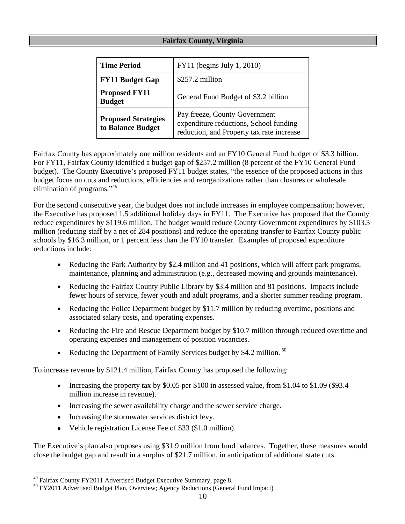# **Fairfax County, Virginia**

| <b>Time Period</b>                              | $\vert$ FY11 (begins July 1, 2010)                                                                                          |
|-------------------------------------------------|-----------------------------------------------------------------------------------------------------------------------------|
| <b>FY11 Budget Gap</b>                          | $\frac{257.2 \text{ million}}{257.2 \text{ million}}$                                                                       |
| <b>Proposed FY11</b><br><b>Budget</b>           | General Fund Budget of \$3.2 billion                                                                                        |
| <b>Proposed Strategies</b><br>to Balance Budget | <b>Pay freeze, County Government</b><br>expenditure reductions, School funding<br>reduction, and Property tax rate increase |

Fairfax County has approximately one million residents and an FY10 General Fund budget of \$3.3 billion. For FY11, Fairfax County identified a budget gap of \$257.2 million (8 percent of the FY10 General Fund budget). The County Executive's proposed FY11 budget states, "the essence of the proposed actions in this budget focus on cuts and reductions, efficiencies and reorganizations rather than closures or wholesale elimination of programs."<sup>49</sup>

For the second consecutive year, the budget does not include increases in employee compensation; however, the Executive has proposed 1.5 additional holiday days in FY11. The Executive has proposed that the County reduce expenditures by \$119.6 million. The budget would reduce County Government expenditures by \$103.3 million (reducing staff by a net of 284 positions) and reduce the operating transfer to Fairfax County public schools by \$16.3 million, or 1 percent less than the FY10 transfer. Examples of proposed expenditure reductions include:

- Reducing the Park Authority by \$2.4 million and 41 positions, which will affect park programs, maintenance, planning and administration (e.g., decreased mowing and grounds maintenance).
- Reducing the Fairfax County Public Library by \$3.4 million and 81 positions. Impacts include fewer hours of service, fewer youth and adult programs, and a shorter summer reading program.
- Reducing the Police Department budget by \$11.7 million by reducing overtime, positions and associated salary costs, and operating expenses.
- Reducing the Fire and Rescue Department budget by \$10.7 million through reduced overtime and operating expenses and management of position vacancies.
- Reducing the Department of Family Services budget by \$4.2 million. <sup>50</sup>

To increase revenue by \$121.4 million, Fairfax County has proposed the following:

- Increasing the property tax by \$0.05 per \$100 in assessed value, from \$1.04 to \$1.09 (\$93.4) million increase in revenue).
- Increasing the sewer availability charge and the sewer service charge.
- Increasing the stormwater services district levy.
- $\bullet$ Vehicle registration License Fee of \$33 (\$1.0 million).

The Executive's plan also proposes using \$31.9 million from fund balances. Together, these measures would close the budget gap and result in a surplus of \$21.7 million, in anticipation of additional state cuts.

<sup>&</sup>lt;sup>49</sup> Fairfax County FY2011 Advertised Budget Executive Summary, page 8.<br><sup>50</sup> FY2011 Advertised Budget Plan, Overview; Agency Reductions (General Fund Impact)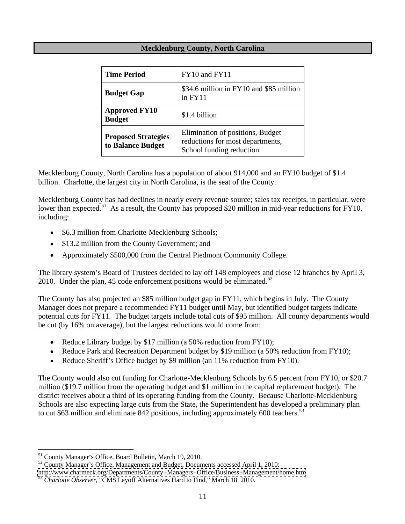## **Mecklenburg County, North Carolina**

| <b>Time Period</b>                              | $\vert$ FY10 and FY11                                                                           |
|-------------------------------------------------|-------------------------------------------------------------------------------------------------|
| <b>Budget Gap</b>                               | \$34.6 million in FY10 and \$85 million  <br>$in$ FY11                                          |
| <b>Approved FY10</b><br><b>Budget</b>           | $$1.4$ billion                                                                                  |
| <b>Proposed Strategies</b><br>to Balance Budget | Elimination of positions, Budget<br>eductions for most departments,<br>School funding reduction |

Mecklenburg County, North Carolina has a population of about 914,000 and an FY10 budget of \$1.4 billion. Charlotte, the largest city in North Carolina, is the seat of the County.

Mecklenburg County has had declines in nearly every revenue source; sales tax receipts, in particular, were lower than expected.<sup>51</sup> As a result, the County has proposed \$20 million in mid-year reductions for FY10, including:

- \$6.3 million from Charlotte-Mecklenburg Schools;
- \$13.2 million from the County Government; and
- Approximately \$500,000 from the Central Piedmont Community College.  $\bullet$

The library system's Board of Trustees decided to lay off 148 employees and close 12 branches by April 3, 2010. Under the plan, 45 code enforcement positions would be eliminated.<sup>52</sup>

The County has also projected an \$85 million budget gap in FY11, which begins in July. The County Manager does not prepare a recommended FY11 budget until May, but identified budget targets indicate potential cuts for FY11. The budget targets include total cuts of \$95 million. All county departments would be cut (by 16% on average), but the largest reductions would come from:

- Reduce Library budget by \$17 million (a 50% reduction from FY10);
- Reduce Park and Recreation Department budget by \$19 million (a 50% reduction from FY10);
- Reduce Sheriff's Office budget by \$9 million (an  $11\%$  reduction from FY10).

The County would also cut funding for Charlotte-Mecklenburg Schools by 6.5 percent from FY10, or \$20.7 million (\$19.7 million from the operating budget and \$1 million in the capital replacement budget). The district receives about a third of its operating funding from the County. Because Charlotte-Mecklenburg Schools are also expecting large cuts from the State, the Superintendent has developed a preliminary plan to cut \$63 million and eliminate  $842$  positions, including approximately 600 teachers.<sup>53</sup>

<sup>51</sup> County Manager's Office, Board Bulletin, March 19, 2010.<br><sup>51</sup> County Manager's Office, Management and Budget, Documents accessed April 1, 2010:

<http://www.charmeck.org/Departments/County+Managers+Office/Business+Management/home.htm>

<sup>&</sup>lt;sup>53</sup> *Charlotte Observer*, "CMS Layoff Alternatives Hard to Find," March 18, 2010.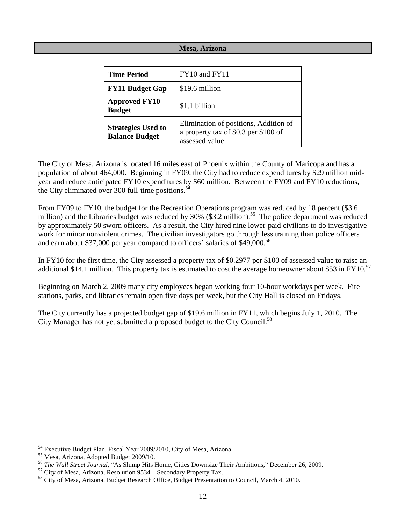### **Mesa, Arizona**

| <b>Time Period</b>                                 | FY10 and FY11                                                                                   |
|----------------------------------------------------|-------------------------------------------------------------------------------------------------|
| <b>FY11 Budget Gap</b>                             | \$19.6 million                                                                                  |
| <b>Approved FY10</b><br><b>Budget</b>              | \$1.1 billion                                                                                   |
| <b>Strategies Used to</b><br><b>Balance Budget</b> | Elimination of positions, Addition of<br>a property tax of \$0.3 per \$100 of<br>assessed value |

The City of Mesa, Arizona is located 16 miles east of Phoenix within the County of Maricopa and has a population of about 464,000. Beginning in FY09, the City had to reduce expenditures by \$29 million mid year and reduce anticipated FY10 expenditures by \$60 million. Between the FY09 and FY10 reductions, the City eliminated over 300 full-time positions. $54$ 

 From FY09 to FY10, the budget for the Recreation Operations program was reduced by 18 percent (\$3.6 million) and the Libraries budget was reduced by 30% (\$3.2 million).<sup>55</sup> The police department was reduced by approximately 50 sworn officers. As a result, the City hired nine lower-paid civilians to do investigative work for minor nonviolent crimes. The civilian investigators go through less training than police officers and earn about \$37,000 per year compared to officers' salaries of  $$49,000$ .<sup>56</sup>

In FY10 for the first time, the City assessed a property tax of \$0.2977 per \$100 of assessed value to raise an additional \$14.1 million. This property tax is estimated to cost the average homeowner about \$53 in FY10.<sup>57</sup>

Beginning on March 2, 2009 many city employees began working four 10-hour workdays per week. Fire stations, parks, and libraries remain open five days per week, but the City Hall is closed on Fridays.

The City currently has a projected budget gap of \$19.6 million in FY11, which begins July 1, 2010. The City Manager has not yet submitted a proposed budget to the City Council.<sup>58</sup>

<sup>&</sup>lt;sup>54</sup> Executive Budget Plan, Fiscal Year 2009/2010, City of Mesa, Arizona.<br><sup>55</sup> Mesa, Arizona, Adopted Budget 2009/10.<br><sup>56</sup> The Wall Street Journal, "As Slump Hits Home, Cities Downsize Their Ambitions," December 26, 2009.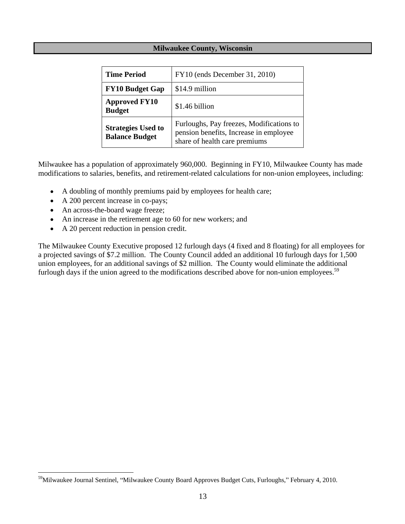## **Milwaukee County, Wisconsin**

| <b>Time Period</b>                                 | $\vert$ FY10 (ends December 31, 2010)                                                                               |
|----------------------------------------------------|---------------------------------------------------------------------------------------------------------------------|
| $\vert$ FY10 Budget Gap $\vert$ \$14.9 million     |                                                                                                                     |
| Approved FY10<br><b>Budget</b>                     | \$1.46 billion                                                                                                      |
| <b>Strategies Used to</b><br><b>Balance Budget</b> | Furloughs, Pay freezes, Modifications to<br>pension benefits, Increase in employee<br>share of health care premiums |

Milwaukee has a population of approximately 960,000. Beginning in FY10, Milwaukee County has made modifications to salaries, benefits, and retirement-related calculations for non-union employees, including:

- A doubling of monthly premiums paid by employees for health care;  $\bullet$
- A 200 percent increase in co-pays;  $\bullet$
- An across-the-board wage freeze;
- An increase in the retirement age to 60 for new workers; and
- A 20 percent reduction in pension credit.  $\bullet$

The Milwaukee County Executive proposed 12 furlough days (4 fixed and 8 floating) for all employees for a projected savings of \$7.2 million. The County Council added an additional 10 furlough days for 1,500 union employees, for an additional savings of \$2 million. The County would eliminate the additional furlough days if the union agreed to the modifications described above for non-union employees.<sup>59</sup>

<sup>59</sup>Milwaukee Journal Sentinel, "Milwaukee County Board Approves Budget Cuts, Furloughs," February 4, 2010.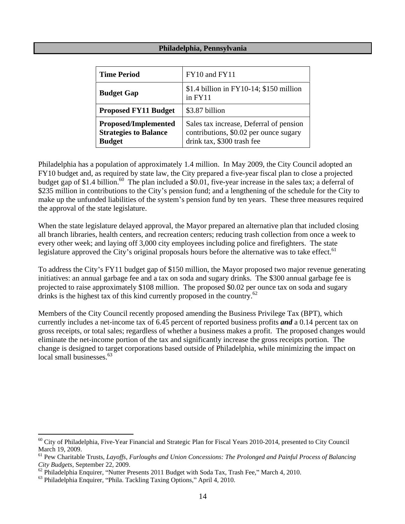#### **Philadelphia, Pennsylvania**

| <b>Time Period</b>                                                           | FY10 and FY11                                                                                                   |
|------------------------------------------------------------------------------|-----------------------------------------------------------------------------------------------------------------|
| <b>Budget Gap</b>                                                            | $\$\$ 1.4 billion in FY10-14; $\$$ 150 million<br>$in$ FY11                                                     |
| Proposed FY11 Budget $\parallel$ \$3.87 billion                              |                                                                                                                 |
| <b>Proposed/Implemented</b><br><b>Strategies to Balance</b><br><b>Budget</b> | Sales tax increase, Deferral of pension<br>contributions, \$0.02 per ounce sugary<br>drink tax, \$300 trash fee |

Philadelphia has a population of approximately 1.4 million. In May 2009, the City Council adopted an FY10 budget and, as required by state law, the City prepared a five-year fiscal plan to close a projected budget gap of \$1.4 billion.<sup>60</sup> The plan included a \$0.01, five-year increase in the sales tax; a deferral of \$235 million in contributions to the City's pension fund; and a lengthening of the schedule for the City to make up the unfunded liabilities of the system's pension fund by ten years. These three measures required the approval of the state legislature.

When the state legislature delayed approval, the Mayor prepared an alternative plan that included closing all branch libraries, health centers, and recreation centers; reducing trash collection from once a week to every other week; and laying off 3,000 city employees including police and firefighters. The state legislature approved the City's original proposals hours before the alternative was to take effect.<sup>61</sup>

To address the City's FY11 budget gap of \$150 million, the Mayor proposed two major revenue generating initiatives: an annual garbage fee and a tax on soda and sugary drinks. The \$300 annual garbage fee is projected to raise approximately \$108 million. The proposed \$0.02 per ounce tax on soda and sugary drinks is the highest tax of this kind currently proposed in the country.<sup>62</sup>

Members of the City Council recently proposed amending the Business Privilege Tax (BPT), which currently includes a net-income tax of 6.45 percent of reported business profits *and* a 0.14 percent tax on gross receipts, or total sales; regardless of whether a business makes a profit. The proposed changes would eliminate the net-income portion of the tax and significantly increase the gross receipts portion. The change is designed to target corporations based outside of Philadelphia, while minimizing the impact on local small businesses.<sup>63</sup> local small businesses.<sup>63</sup>

 $60$  City of Philadelphia, Five-Year Financial and Strategic Plan for Fiscal Years 2010-2014, presented to City Council March 19, 2009.

<sup>&</sup>lt;sup>61</sup> Pew Charitable Trusts, *Layoffs, Furloughs and Union Concessions: The Prolonged and Painful Process of Balancing City Budgets*, September 22, 2009.<br><sup>62</sup> Philadelphia Enquirer, "Nutter Presents 2011 Budget with Soda Tax, Trash Fee," March 4, 2010.<br><sup>63</sup> Philadelphia Enquirer, "Phila. Tackling Taxing Options," April 4, 2010.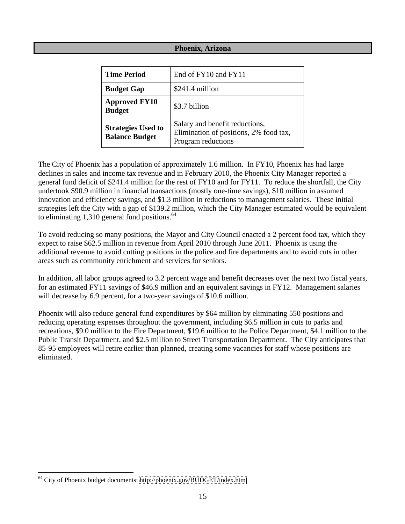## **Phoenix, Arizona**

| <b>Time Period</b>                                                       | End of FY10 and FY11                                                     |
|--------------------------------------------------------------------------|--------------------------------------------------------------------------|
| <b>Budget Gap</b>                                                        | $\frac{1}{2}$ \$241.4 million                                            |
| <b>Approved FY10</b><br><b>Budget</b>                                    | \$3.7 billion                                                            |
| Strategies Used to<br><b>Balance Budget</b><br><b>Program reductions</b> | Salary and benefit reductions,<br>Elimination of positions, 2% food tax, |

The City of Phoenix has a population of approximately 1.6 million. In FY10, Phoenix has had large declines in sales and income tax revenue and in February 2010, the Phoenix City Manager reported a general fund deficit of \$241.4 million for the rest of FY10 and for FY11. To reduce the shortfall, the City undertook \$90.9 million in financial transactions (mostly one-time savings), \$10 million in assumed innovation and efficiency savings, and \$1.3 million in reductions to management salaries. These initial strategies left the City with a gap of \$139.2 million, which the City Manager estimated would be equivalent to eliminating  $1,310$  general fund positions.<sup>64</sup>

To avoid reducing so many positions, the Mayor and City Council enacted a 2 percent food tax, which they expect to raise \$62.5 million in revenue from April 2010 through June 2011. Phoenix is using the additional revenue to avoid cutting positions in the police and fire departments and to avoid cuts in other areas such as community enrichment and services for seniors.

In addition, all labor groups agreed to 3.2 percent wage and benefit decreases over the next two fiscal years, for an estimated FY11 savings of \$46.9 million and an equivalent savings in FY12. Management salaries will decrease by 6.9 percent, for a two-year savings of \$10.6 million.

Phoenix will also reduce general fund expenditures by \$64 million by eliminating 550 positions and reducing operating expenses throughout the government, including \$6.5 million in cuts to parks and recreations, \$9.0 million to the Fire Department, \$19.6 million to the Police Department, \$4.1 million to the Public Transit Department, and \$2.5 million to Street Transportation Department. The City anticipates that 85-95 employees will retire earlier than planned, creating some vacancies for staff whose positions are eliminated.

 <sup>64</sup> City of Phoenix budget documents:<http://phoenix.gov/BUDGET/index.html>